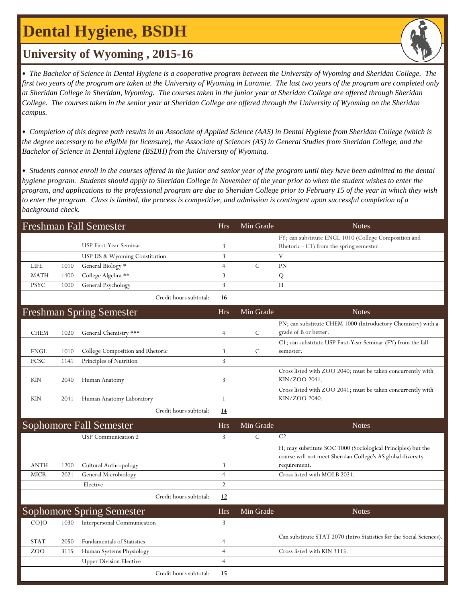# **Dental Hygiene, BSDH**

### **University of Wyoming , 2015-16**

• *The Bachelor of Science in Dental Hygiene is a cooperative program between the University of Wyoming and Sheridan College. The first two years of the program are taken at the University of Wyoming in Laramie. The last two years of the program are completed only at Sheridan College in Sheridan, Wyoming. The courses taken in the junior year at Sheridan College are offered through Sheridan College. The courses taken in the senior year at Sheridan College are offered through the University of Wyoming on the Sheridan campus.*

• *Completion of this degree path results in an Associate of Applied Science (AAS) in Dental Hygiene from Sheridan College (which is the degree necessary to be eligible for licensure), the Associate of Sciences (AS) in General Studies from Sheridan College, and the Bachelor of Science in Dental Hygiene (BSDH) from the University of Wyoming.*

• *Students cannot enroll in the courses offered in the junior and senior year of the program until they have been admitted to the dental hygiene program. Students should apply to Sheridan College in November of the year prior to when the student wishes to enter the program, and applications to the professional program are due to Sheridan College prior to February 15 of the year in which they wish to enter the program. Class is limited, the process is competitive, and admission is contingent upon successful completion of a background check.*

| Freshman Fall Semester |      |                               | Hrs.      | Min Grade | <b>Notes</b>                                                                                      |
|------------------------|------|-------------------------------|-----------|-----------|---------------------------------------------------------------------------------------------------|
|                        |      | USP First-Year Seminar        |           |           | FY; can substitute ENGL 1010 (College Composition and<br>Rhetoric - C1) from the spring semester. |
|                        |      | USP US & Wyoming Constitution |           |           |                                                                                                   |
| <b>LIFE</b>            | 1010 | General Biology *             |           |           | PN                                                                                                |
| MATH                   | 1400 | College Algebra **            |           |           |                                                                                                   |
| <b>PSYC</b>            | 1000 | General Psychology            |           |           | Н                                                                                                 |
|                        |      | Credit hours subtotal:        | <u>16</u> |           |                                                                                                   |

|                 |      | <b>Freshman Spring Semester</b>   | <b>Hrs</b>     | Min Grade     | <b>Notes</b>                                                         |
|-----------------|------|-----------------------------------|----------------|---------------|----------------------------------------------------------------------|
|                 |      |                                   |                |               | PN; can substitute CHEM 1000 (Introductory Chemistry) with a         |
| <b>CHEM</b>     | 1020 | General Chemistry ***             | $\overline{4}$ | C             | grade of B or better.                                                |
|                 |      |                                   |                |               | C1; can substitute USP First-Year Seminar (FY) from the fall         |
| <b>ENGL</b>     | 1010 | College Composition and Rhetoric  | 3              | $\mathcal{C}$ | semester.                                                            |
| FCSC            | 1141 | Principles of Nutrition           | 3              |               |                                                                      |
|                 |      |                                   |                |               | Cross listed with ZOO 2040; must be taken concurrently with          |
| <b>KIN</b>      | 2040 | Human Anatomy                     | 3              |               | KIN/ZOO 2041.                                                        |
|                 |      |                                   |                |               | Cross listed with ZOO 2041; must be taken concurrently with          |
| KIN             | 2041 | Human Anatomy Laboratory          |                |               | KIN/ZOO 2040.                                                        |
|                 |      | Credit hours subtotal:            | <u>14</u>      |               |                                                                      |
|                 |      | <b>Sophomore Fall Semester</b>    | <b>Hrs</b>     | Min Grade     | <b>Notes</b>                                                         |
|                 |      | <b>USP</b> Communication 2        | 3              | $\mathcal{C}$ | C <sub>2</sub>                                                       |
|                 |      |                                   |                |               | H; may substitute SOC 1000 (Sociological Principles) but the         |
|                 |      |                                   |                |               | course will not meet Sheridan College's AS global diversity          |
| <b>ANTH</b>     | 1200 | Cultural Anthropology             | 3              |               | requirement.                                                         |
| <b>MICR</b>     | 2021 | General Microbiology              | $\overline{4}$ |               | Cross listed with MOLB 2021.                                         |
|                 |      | Elective                          | $\overline{2}$ |               |                                                                      |
|                 |      | Credit hours subtotal:            | 12             |               |                                                                      |
|                 |      | Sophomore Spring Semester         | <b>Hrs</b>     | Min Grade     | <b>Notes</b>                                                         |
| CO <sub>1</sub> | 1030 | Interpersonal Communication       | 3              |               |                                                                      |
|                 |      |                                   |                |               | Can substitute STAT 2070 (Intro Statistics for the Social Sciences). |
| <b>STAT</b>     | 2050 | <b>Fundamentals of Statistics</b> | 4              |               |                                                                      |
| ZOO             | 3115 | Human Systems Physiology          | $\overline{4}$ |               | Cross listed with KIN 3115.                                          |
|                 |      | <b>Upper Division Elective</b>    | $\overline{4}$ |               |                                                                      |
|                 |      | Credit hours subtotal:            | 15             |               |                                                                      |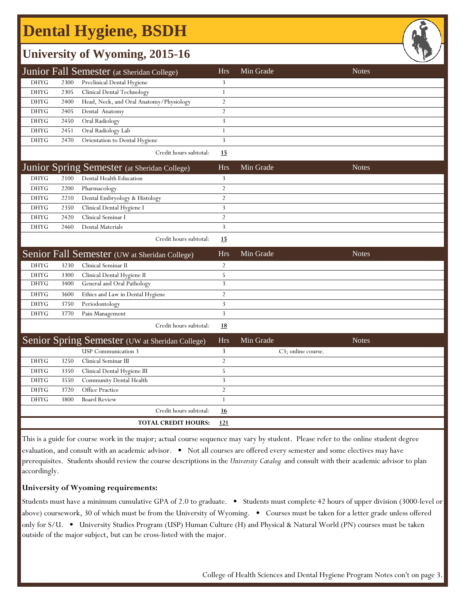# **Dental Hygiene, BSDH**

## **University of Wyoming, 2015-16**

| Junior Fall Semester (at Sheridan College) |      |                                         | <b>Hrs</b> | Min Grade | <b>Notes</b> |
|--------------------------------------------|------|-----------------------------------------|------------|-----------|--------------|
| DHYG                                       | 2300 | Preclinical Dental Hygiene              |            |           |              |
| <b>DHYG</b>                                | 2305 | Clinical Dental Technology              |            |           |              |
| <b>DHYG</b>                                | 2400 | Head, Neck, and Oral Anatomy/Physiology |            |           |              |
| <b>DHYG</b>                                | 2405 | Dental Anatomy                          |            |           |              |
| DHYG                                       | 2450 | Oral Radiology                          |            |           |              |
| DHYG                                       | 2451 | Oral Radiology Lab                      |            |           |              |
| DHYG                                       | 2470 | Orientation to Dental Hygiene           |            |           |              |
|                                            |      |                                         |            |           |              |

Credit hours subtotal: **15**

|             |      | Junior Spring Semester (at Sheridan College) | Hrs. | Min Grade | <b>Notes</b> |
|-------------|------|----------------------------------------------|------|-----------|--------------|
| DHYG        | 2100 | Dental Health Education                      |      |           |              |
| <b>DHYG</b> | 2200 | Pharmacology                                 |      |           |              |
| DHYG        | 2210 | Dental Embryology & Histology                |      |           |              |
| DHYG        | 2350 | Clinical Dental Hygiene I                    |      |           |              |
| <b>DHYG</b> | 2420 | Clinical Seminar I                           |      |           |              |
| DHYG        | 2460 | <b>Dental Materials</b>                      |      |           |              |
|             |      | Credit hours subtotal:                       | 15   |           |              |

| Senior Fall Semester (UW at Sheridan College) |      |                                  | Hrs | Min Grade | <b>Notes</b> |
|-----------------------------------------------|------|----------------------------------|-----|-----------|--------------|
| DHYG                                          | 3230 | Clinical Seminar II              |     |           |              |
| DHYG                                          | 3300 | Clinical Dental Hygiene II       |     |           |              |
| DHYG                                          | 3400 | General and Oral Pathology       |     |           |              |
| DHYG                                          | 3600 | Ethics and Law in Dental Hygiene |     |           |              |
| DHYG                                          | 3750 | Periodontology                   |     |           |              |
| DHYG                                          | 3770 | Pain Management                  |     |           |              |
|                                               |      | Credit hours subtotal:           | 18  |           |              |

|             |      | Senior Spring Semester (UW at Sheridan College) |                            | Hrs        | Min Grade | <b>Notes</b>       |
|-------------|------|-------------------------------------------------|----------------------------|------------|-----------|--------------------|
|             |      | <b>USP</b> Communication 3                      |                            |            |           | C3; online course. |
| <b>DHYG</b> | 3250 | Clinical Seminar III                            |                            |            |           |                    |
| DHYG        | 3350 | Clinical Dental Hygiene III                     |                            |            |           |                    |
| DHYG        | 3550 | Community Dental Health                         |                            |            |           |                    |
| <b>DHYG</b> | 3720 | <b>Office Practice</b>                          |                            |            |           |                    |
| <b>DHYG</b> | 3800 | <b>Board Review</b>                             |                            |            |           |                    |
|             |      |                                                 | Credit hours subtotal:     | <u>16</u>  |           |                    |
|             |      |                                                 | <b>TOTAL CREDIT HOURS:</b> | <u>121</u> |           |                    |

This is a guide for course work in the major; actual course sequence may vary by student. Please refer to the online student degree evaluation, and consult with an academic advisor. • Not all courses are offered every semester and some electives may have prerequisites. Students should review the course descriptions in the *University Catalog* and consult with their academic advisor to plan accordingly.

### **University of Wyoming requirements:**

Students must have a minimum cumulative GPA of 2.0 to graduate. • Students must complete 42 hours of upper division (3000-level or above) coursework, 30 of which must be from the University of Wyoming. • Courses must be taken for a letter grade unless offered only for S/U. • University Studies Program (USP) Human Culture (H) and Physical & Natural World (PN) courses must be taken outside of the major subject, but can be cross-listed with the major.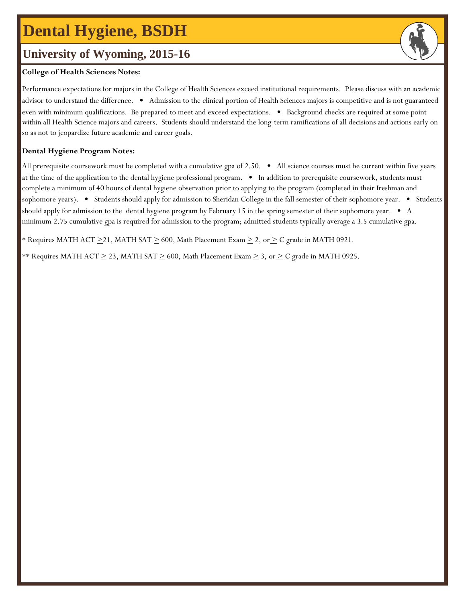# **Dental Hygiene, BSDH**

### **University of Wyoming, 2015-16**

#### **College of Health Sciences Notes:**

Performance expectations for majors in the College of Health Sciences exceed institutional requirements. Please discuss with an academic advisor to understand the difference. • Admission to the clinical portion of Health Sciences majors is competitive and is not guaranteed even with minimum qualifications. Be prepared to meet and exceed expectations. • Background checks are required at some point within all Health Science majors and careers. Students should understand the long-term ramifications of all decisions and actions early on so as not to jeopardize future academic and career goals.

#### **Dental Hygiene Program Notes:**

All prerequisite coursework must be completed with a cumulative gpa of 2.50. • All science courses must be current within five years at the time of the application to the dental hygiene professional program. • In addition to prerequisite coursework, students must complete a minimum of 40 hours of dental hygiene observation prior to applying to the program (completed in their freshman and sophomore years). • Students should apply for admission to Sheridan College in the fall semester of their sophomore year. • Students should apply for admission to the dental hygiene program by February 15 in the spring semester of their sophomore year. • A minimum 2.75 cumulative gpa is required for admission to the program; admitted students typically average a 3.5 cumulative gpa.

\* Requires MATH ACT  $\geq$ 21, MATH SAT  $\geq$  600, Math Placement Exam  $\geq$  2, or  $\geq$  C grade in MATH 0921.

\*\* Requires MATH ACT  $\geq$  23, MATH SAT  $\geq$  600, Math Placement Exam  $\geq$  3, or  $\geq$  C grade in MATH 0925.